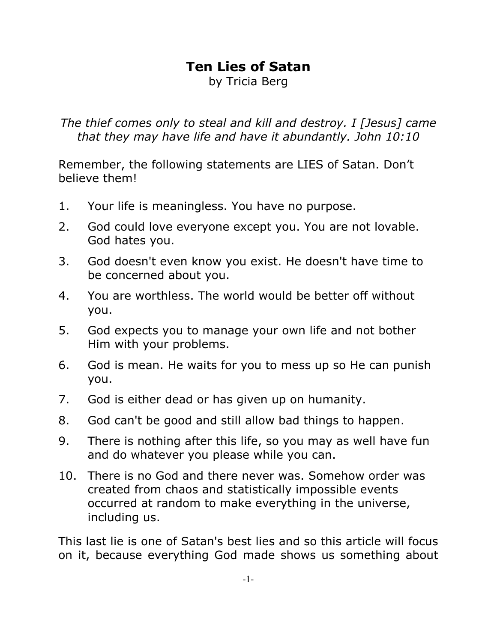## **Ten Lies of Satan**

by Tricia Berg

*The thief comes only to steal and kill and destroy. I [Jesus] came that they may have life and have it abundantly. John 10:10*

Remember, the following statements are LIES of Satan. Don't believe them!

- 1. Your life is meaningless. You have no purpose.
- 2. God could love everyone except you. You are not lovable. God hates you.
- 3. God doesn't even know you exist. He doesn't have time to be concerned about you.
- 4. You are worthless. The world would be better off without you.
- 5. God expects you to manage your own life and not bother Him with your problems.
- 6. God is mean. He waits for you to mess up so He can punish you.
- 7. God is either dead or has given up on humanity.
- 8. God can't be good and still allow bad things to happen.
- 9. There is nothing after this life, so you may as well have fun and do whatever you please while you can.
- 10. There is no God and there never was. Somehow order was created from chaos and statistically impossible events occurred at random to make everything in the universe, including us.

This last lie is one of Satan's best lies and so this article will focus on it, because everything God made shows us something about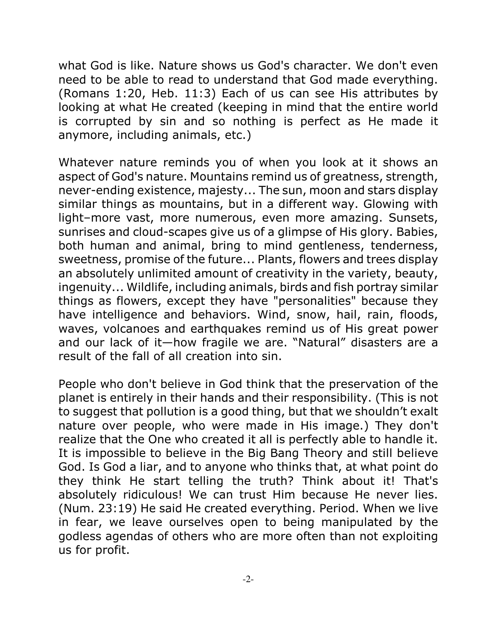what God is like. Nature shows us God's character. We don't even need to be able to read to understand that God made everything. (Romans 1:20, Heb. 11:3) Each of us can see His attributes by looking at what He created (keeping in mind that the entire world is corrupted by sin and so nothing is perfect as He made it anymore, including animals, etc.)

Whatever nature reminds you of when you look at it shows an aspect of God's nature. Mountains remind us of greatness, strength, never-ending existence, majesty... The sun, moon and stars display similar things as mountains, but in a different way. Glowing with light–more vast, more numerous, even more amazing. Sunsets, sunrises and cloud-scapes give us of a glimpse of His glory. Babies, both human and animal, bring to mind gentleness, tenderness, sweetness, promise of the future... Plants, flowers and trees display an absolutely unlimited amount of creativity in the variety, beauty, ingenuity... Wildlife, including animals, birds and fish portray similar things as flowers, except they have "personalities" because they have intelligence and behaviors. Wind, snow, hail, rain, floods, waves, volcanoes and earthquakes remind us of His great power and our lack of it—how fragile we are. "Natural" disasters are a result of the fall of all creation into sin.

People who don't believe in God think that the preservation of the planet is entirely in their hands and their responsibility. (This is not to suggest that pollution is a good thing, but that we shouldn't exalt nature over people, who were made in His image.) They don't realize that the One who created it all is perfectly able to handle it. It is impossible to believe in the Big Bang Theory and still believe God. Is God a liar, and to anyone who thinks that, at what point do they think He start telling the truth? Think about it! That's absolutely ridiculous! We can trust Him because He never lies. (Num. 23:19) He said He created everything. Period. When we live in fear, we leave ourselves open to being manipulated by the godless agendas of others who are more often than not exploiting us for profit.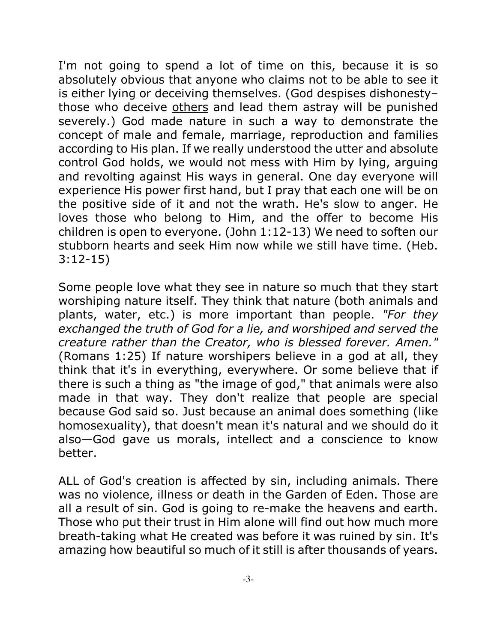I'm not going to spend a lot of time on this, because it is so absolutely obvious that anyone who claims not to be able to see it is either lying or deceiving themselves. (God despises dishonesty– those who deceive others and lead them astray will be punished severely.) God made nature in such a way to demonstrate the concept of male and female, marriage, reproduction and families according to His plan. If we really understood the utter and absolute control God holds, we would not mess with Him by lying, arguing and revolting against His ways in general. One day everyone will experience His power first hand, but I pray that each one will be on the positive side of it and not the wrath. He's slow to anger. He loves those who belong to Him, and the offer to become His children is open to everyone. (John 1:12-13) We need to soften our stubborn hearts and seek Him now while we still have time. (Heb. 3:12-15)

Some people love what they see in nature so much that they start worshiping nature itself. They think that nature (both animals and plants, water, etc.) is more important than people. *"For they exchanged the truth of God for a lie, and worshiped and served the creature rather than the Creator, who is blessed forever. Amen."* (Romans 1:25) If nature worshipers believe in a god at all, they think that it's in everything, everywhere. Or some believe that if there is such a thing as "the image of god," that animals were also made in that way. They don't realize that people are special because God said so. Just because an animal does something (like homosexuality), that doesn't mean it's natural and we should do it also—God gave us morals, intellect and a conscience to know better.

ALL of God's creation is affected by sin, including animals. There was no violence, illness or death in the Garden of Eden. Those are all a result of sin. God is going to re-make the heavens and earth. Those who put their trust in Him alone will find out how much more breath-taking what He created was before it was ruined by sin. It's amazing how beautiful so much of it still is after thousands of years.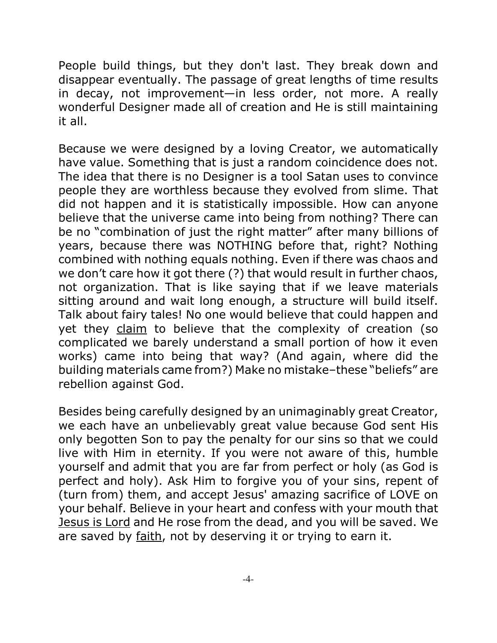People build things, but they don't last. They break down and disappear eventually. The passage of great lengths of time results in decay, not improvement—in less order, not more. A really wonderful Designer made all of creation and He is still maintaining it all.

Because we were designed by a loving Creator, we automatically have value. Something that is just a random coincidence does not. The idea that there is no Designer is a tool Satan uses to convince people they are worthless because they evolved from slime. That did not happen and it is statistically impossible. How can anyone believe that the universe came into being from nothing? There can be no "combination of just the right matter" after many billions of years, because there was NOTHING before that, right? Nothing combined with nothing equals nothing. Even if there was chaos and we don't care how it got there (?) that would result in further chaos, not organization. That is like saying that if we leave materials sitting around and wait long enough, a structure will build itself. Talk about fairy tales! No one would believe that could happen and yet they claim to believe that the complexity of creation (so complicated we barely understand a small portion of how it even works) came into being that way? (And again, where did the building materials came from?) Make no mistake–these "beliefs" are rebellion against God.

Besides being carefully designed by an unimaginably great Creator, we each have an unbelievably great value because God sent His only begotten Son to pay the penalty for our sins so that we could live with Him in eternity. If you were not aware of this, humble yourself and admit that you are far from perfect or holy (as God is perfect and holy). Ask Him to forgive you of your sins, repent of (turn from) them, and accept Jesus' amazing sacrifice of LOVE on your behalf. Believe in your heart and confess with your mouth that Jesus is Lord and He rose from the dead, and you will be saved. We are saved by faith, not by deserving it or trying to earn it.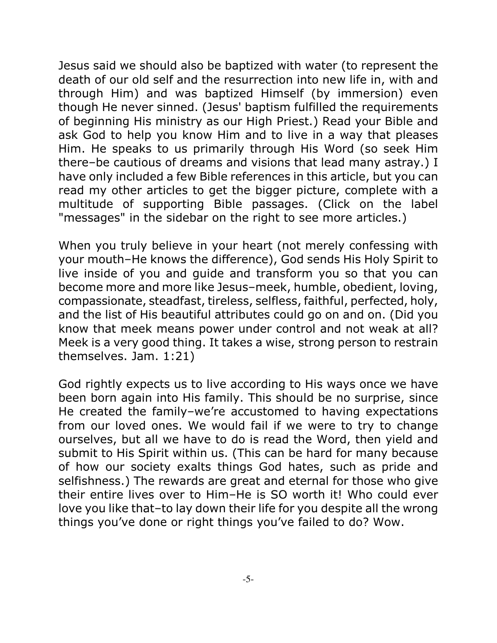Jesus said we should also be baptized with water (to represent the death of our old self and the resurrection into new life in, with and through Him) and was baptized Himself (by immersion) even though He never sinned. (Jesus' baptism fulfilled the requirements of beginning His ministry as our High Priest.) Read your Bible and ask God to help you know Him and to live in a way that pleases Him. He speaks to us primarily through His Word (so seek Him there–be cautious of dreams and visions that lead many astray.) I have only included a few Bible references in this article, but you can read my other articles to get the bigger picture, complete with a multitude of supporting Bible passages. (Click on the label "messages" in the sidebar on the right to see more articles.)

When you truly believe in your heart (not merely confessing with your mouth–He knows the difference), God sends His Holy Spirit to live inside of you and guide and transform you so that you can become more and more like Jesus–meek, humble, obedient, loving, compassionate, steadfast, tireless, selfless, faithful, perfected, holy, and the list of His beautiful attributes could go on and on. (Did you know that meek means power under control and not weak at all? Meek is a very good thing. It takes a wise, strong person to restrain themselves. Jam. 1:21)

God rightly expects us to live according to His ways once we have been born again into His family. This should be no surprise, since He created the family–we're accustomed to having expectations from our loved ones. We would fail if we were to try to change ourselves, but all we have to do is read the Word, then yield and submit to His Spirit within us. (This can be hard for many because of how our society exalts things God hates, such as pride and selfishness.) The rewards are great and eternal for those who give their entire lives over to Him–He is SO worth it! Who could ever love you like that–to lay down their life for you despite all the wrong things you've done or right things you've failed to do? Wow.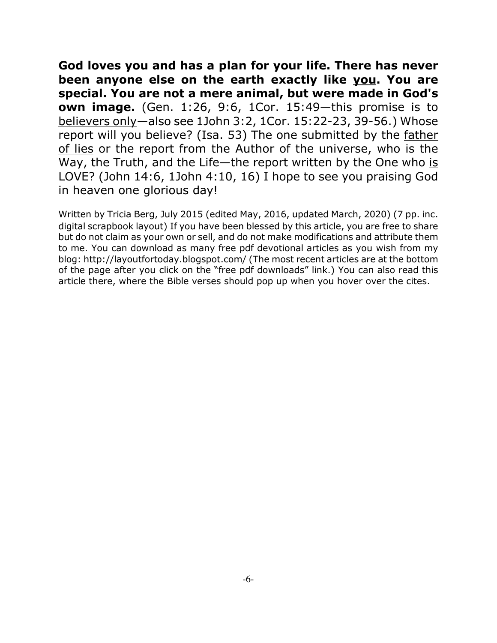**God loves you and has a plan for your life. There has never been anyone else on the earth exactly like you. You are special. You are not a mere animal, but were made in God's own image.** (Gen. 1:26, 9:6, 1Cor. 15:49—this promise is to believers only—also see 1John 3:2, 1Cor. 15:22-23, 39-56.) Whose report will you believe? (Isa. 53) The one submitted by the father of lies or the report from the Author of the universe, who is the Way, the Truth, and the Life—the report written by the One who is LOVE? (John 14:6, 1John 4:10, 16) I hope to see you praising God in heaven one glorious day!

Written by Tricia Berg, July 2015 (edited May, 2016, updated March, 2020) (7 pp. inc. digital scrapbook layout) If you have been blessed by this article, you are free to share but do not claim as your own or sell, and do not make modifications and attribute them to me. You can download as many free pdf devotional articles as you wish from my blog: http://layoutfortoday.blogspot.com/ (The most recent articles are at the bottom of the page after you click on the "free pdf downloads" link.) You can also read this article there, where the Bible verses should pop up when you hover over the cites.